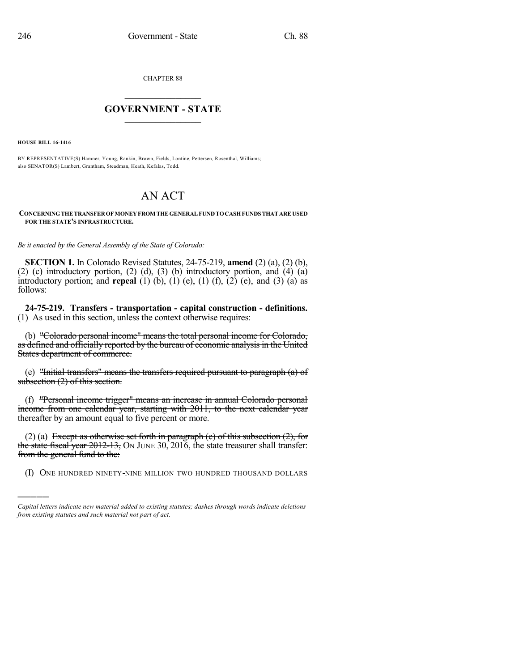CHAPTER 88

## $\overline{\phantom{a}}$  . The set of the set of the set of the set of the set of the set of the set of the set of the set of the set of the set of the set of the set of the set of the set of the set of the set of the set of the set o **GOVERNMENT - STATE**  $\_$

**HOUSE BILL 16-1416**

)))))

BY REPRESENTATIVE(S) Hamner, Young, Rankin, Brown, Fields, Lontine, Pettersen, Rosenthal, Williams; also SENATOR(S) Lambert, Grantham, Steadman, Heath, Kefalas, Todd.

## AN ACT

## **CONCERNINGTHETRANSFEROFMONEYFROM THEGENERALFUNDTOCASHFUNDSTHATAREUSED FOR THE STATE'S INFRASTRUCTURE.**

*Be it enacted by the General Assembly of the State of Colorado:*

**SECTION 1.** In Colorado Revised Statutes, 24-75-219, **amend** (2) (a), (2) (b), (2) (c) introductory portion, (2) (d), (3) (b) introductory portion, and  $(4)$   $(a)$ introductory portion; and **repeal** (1) (b), (1) (e), (1) (f), (2) (e), and (3) (a) as follows:

**24-75-219. Transfers - transportation - capital construction - definitions.** (1) As used in this section, unless the context otherwise requires:

(b) "Colorado personal income" means the total personal income for Colorado, as defined and officially reported by the bureau of economic analysis in the United States department of commerce.

(e) "Initial transfers" means the transfers required pursuant to paragraph (a) of subsection (2) of this section.

(f) "Personal income trigger" means an increase in annual Colorado personal income from one calendar year, starting with 2011, to the next calendar year thereafter by an amount equal to five percent or more.

(2) (a) Except as otherwise set forth in paragraph (e) of this subsection  $(2)$ , for the state fiscal year  $2012-13$ , ON JUNE 30, 2016, the state treasurer shall transfer: from the general fund to the:

(I) ONE HUNDRED NINETY-NINE MILLION TWO HUNDRED THOUSAND DOLLARS

*Capital letters indicate new material added to existing statutes; dashes through words indicate deletions from existing statutes and such material not part of act.*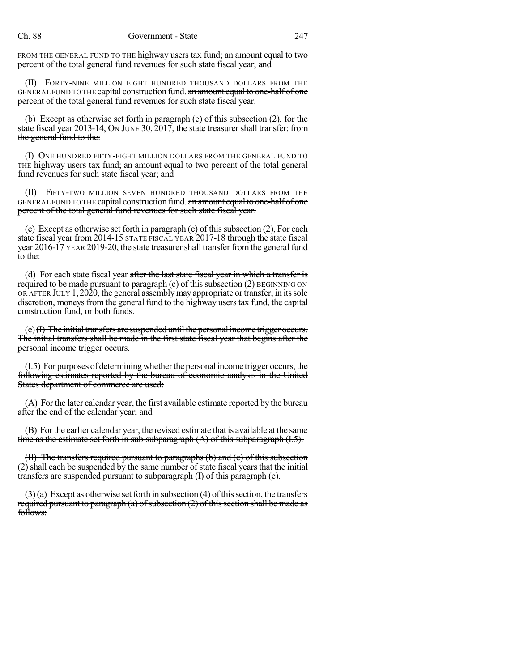FROM THE GENERAL FUND TO THE highway users tax fund; an amount equal to two percent of the total general fund revenues for such state fiscal year; and

(II) FORTY-NINE MILLION EIGHT HUNDRED THOUSAND DOLLARS FROM THE GENERAL FUND TO THE capital construction fund. an amount equal to one-half of one percent of the total general fund revenues for such state fiscal year.

(b) Except as otherwise set forth in paragraph (e) of this subsection  $(2)$ , for the state fiscal year 2013-14, ON JUNE 30, 2017, the state treasurer shall transfer: from the general fund to the:

(I) ONE HUNDRED FIFTY-EIGHT MILLION DOLLARS FROM THE GENERAL FUND TO THE highway users tax fund; an amount equal to two percent of the total general fund revenues for such state fiscal year; and

(II) FIFTY-TWO MILLION SEVEN HUNDRED THOUSAND DOLLARS FROM THE GENERAL FUND TO THE capital construction fund. an amount equal to one-half of one percent of the total general fund revenues for such state fiscal year.

(c) Except as otherwise set forth in paragraph (e) of this subsection  $(2)$ , For each state fiscal year from 2014-15 STATE FISCAL YEAR 2017-18 through the state fiscal year 2016-17 YEAR 2019-20, the state treasurer shall transfer from the general fund to the:

(d) For each state fiscal year after the last state fiscal year in which a transfer is required to be made pursuant to paragraph  $(c)$  of this subsection  $(2)$  BEGINNING ON OR AFTER JULY 1, 2020, the general assembly may appropriate or transfer, in its sole discretion, moneys from the general fund to the highway users tax fund, the capital construction fund, or both funds.

 $(e)$  (I) The initial transfers are suspended until the personal income trigger occurs. The initial transfers shall be made in the first state fiscal year that begins after the personal income trigger occurs.

(I.5) For purposes of determining whether the personal income trigger occurs, the following estimates reported by the bureau of economic analysis in the United States department of commerce are used:

(A) For the later calendar year, the first available estimate reported by the bureau after the end of the calendar year; and

(B) Forthe earlier calendar year, the revised estimate that is available at the same time as the estimate set forth in sub-subparagraph (A) of this subparagraph (I.5).

(II) The transfers required pursuant to paragraphs (b) and (c) of this subsection (2) shall each be suspended by the same number of state fiscal years that the initial transfers are suspended pursuant to subparagraph (I) of this paragraph (e).

 $(3)(a)$  Except as otherwise set forth in subsection  $(4)$  of this section, the transfers required pursuant to paragraph (a) of subsection  $(2)$  of this section shall be made as follows: